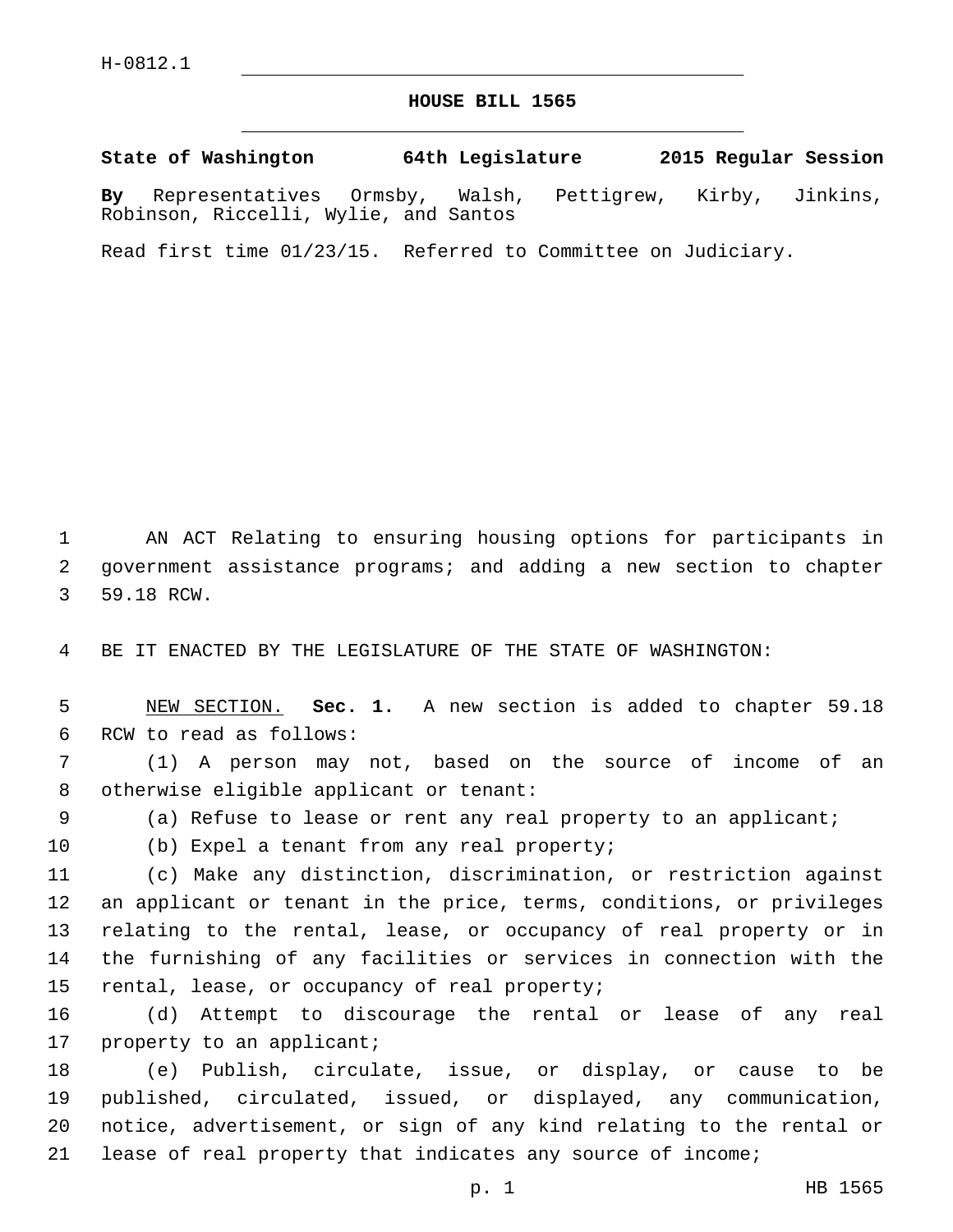## **HOUSE BILL 1565**

**State of Washington 64th Legislature 2015 Regular Session By** Representatives Ormsby, Walsh, Pettigrew, Kirby, Jinkins, Robinson, Riccelli, Wylie, and Santos

Read first time 01/23/15. Referred to Committee on Judiciary.

1 AN ACT Relating to ensuring housing options for participants in 2 government assistance programs; and adding a new section to chapter 3 59.18 RCW.

4 BE IT ENACTED BY THE LEGISLATURE OF THE STATE OF WASHINGTON:

5 NEW SECTION. **Sec. 1.** A new section is added to chapter 59.18 6 RCW to read as follows:

7 (1) A person may not, based on the source of income of an 8 otherwise eligible applicant or tenant:

9 (a) Refuse to lease or rent any real property to an applicant;

10 (b) Expel a tenant from any real property;

 (c) Make any distinction, discrimination, or restriction against an applicant or tenant in the price, terms, conditions, or privileges relating to the rental, lease, or occupancy of real property or in the furnishing of any facilities or services in connection with the 15 rental, lease, or occupancy of real property;

16 (d) Attempt to discourage the rental or lease of any real 17 property to an applicant;

 (e) Publish, circulate, issue, or display, or cause to be published, circulated, issued, or displayed, any communication, notice, advertisement, or sign of any kind relating to the rental or lease of real property that indicates any source of income;